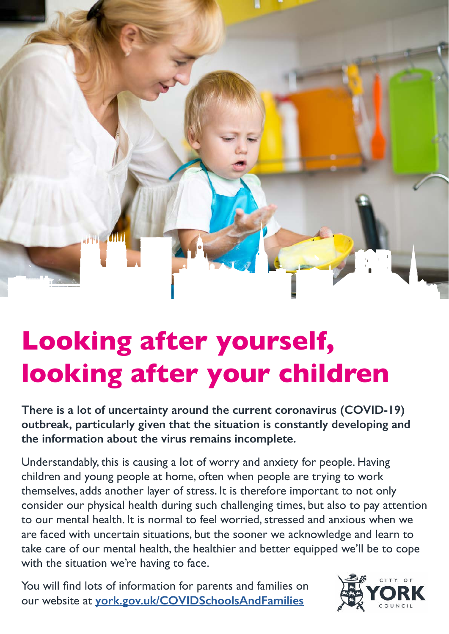

# **Looking after yourself, looking after your children**

**There is a lot of uncertainty around the current coronavirus (COVID-19) outbreak, particularly given that the situation is constantly developing and the information about the virus remains incomplete.**

Understandably, this is causing a lot of worry and anxiety for people. Having children and young people at home, often when people are trying to work themselves, adds another layer of stress. It is therefore important to not only consider our physical health during such challenging times, but also to pay attention to our mental health. It is normal to feel worried, stressed and anxious when we are faced with uncertain situations, but the sooner we acknowledge and learn to take care of our mental health, the healthier and better equipped we'll be to cope with the situation we're having to face.

You will find lots of information for parents and families on our website at **[york.gov.uk/COVIDSchoolsAndFamilies](http://york.gov.uk/COVIDSchoolsAndFamilies)**

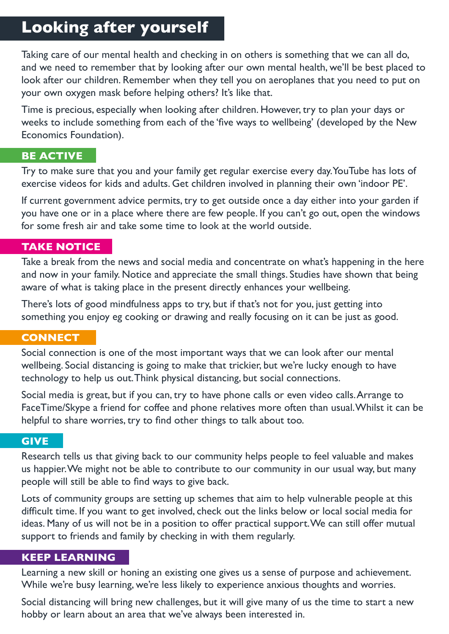# **Looking after yourself**

Taking care of our mental health and checking in on others is something that we can all do, and we need to remember that by looking after our own mental health, we'll be best placed to look after our children. Remember when they tell you on aeroplanes that you need to put on your own oxygen mask before helping others? It's like that.

Time is precious, especially when looking after children. However, try to plan your days or weeks to include something from each of the 'five ways to wellbeing' (developed by the New Economics Foundation).

#### **BE ACTIVE**

Try to make sure that you and your family get regular exercise every day. YouTube has lots of exercise videos for kids and adults. Get children involved in planning their own 'indoor PE'.

If current government advice permits, try to get outside once a day either into your garden if you have one or in a place where there are few people. If you can't go out, open the windows for some fresh air and take some time to look at the world outside.

#### **TAKE NOTICE**

Take a break from the news and social media and concentrate on what's happening in the here and now in your family. Notice and appreciate the small things. Studies have shown that being aware of what is taking place in the present directly enhances your wellbeing.

There's lots of good mindfulness apps to try, but if that's not for you, just getting into something you enjoy eg cooking or drawing and really focusing on it can be just as good.

#### **CONNECT**

Social connection is one of the most important ways that we can look after our mental wellbeing. Social distancing is going to make that trickier, but we're lucky enough to have technology to help us out. Think physical distancing, but social connections.

Social media is great, but if you can, try to have phone calls or even video calls. Arrange to FaceTime/Skype a friend for coffee and phone relatives more often than usual. Whilst it can be helpful to share worries, try to find other things to talk about too.

#### **GIVE**

Research tells us that giving back to our community helps people to feel valuable and makes us happier. We might not be able to contribute to our community in our usual way, but many people will still be able to find ways to give back.

Lots of community groups are setting up schemes that aim to help vulnerable people at this difficult time. If you want to get involved, check out the links below or local social media for ideas. Many of us will not be in a position to offer practical support. We can still offer mutual support to friends and family by checking in with them regularly.

#### **KEEP LEARNING**

Learning a new skill or honing an existing one gives us a sense of purpose and achievement. While we're busy learning, we're less likely to experience anxious thoughts and worries.

Social distancing will bring new challenges, but it will give many of us the time to start a new hobby or learn about an area that we've always been interested in.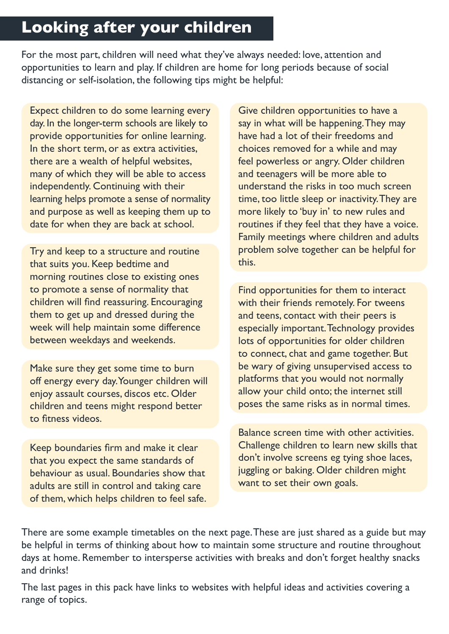# **Looking after your children**

For the most part, children will need what they've always needed: love, attention and opportunities to learn and play. If children are home for long periods because of social distancing or self-isolation, the following tips might be helpful:

Expect children to do some learning every day. In the longer-term schools are likely to provide opportunities for online learning. In the short term, or as extra activities, there are a wealth of helpful websites, many of which they will be able to access independently. Continuing with their learning helps promote a sense of normality and purpose as well as keeping them up to date for when they are back at school.

Try and keep to a structure and routine that suits you. Keep bedtime and morning routines close to existing ones to promote a sense of normality that children will find reassuring. Encouraging them to get up and dressed during the week will help maintain some difference between weekdays and weekends.

Make sure they get some time to burn off energy every day. Younger children will enjoy assault courses, discos etc. Older children and teens might respond better to fitness videos.

Keep boundaries firm and make it clear that you expect the same standards of behaviour as usual. Boundaries show that adults are still in control and taking care of them, which helps children to feel safe. Give children opportunities to have a say in what will be happening. They may have had a lot of their freedoms and choices removed for a while and may feel powerless or angry. Older children and teenagers will be more able to understand the risks in too much screen time, too little sleep or inactivity. They are more likely to 'buy in' to new rules and routines if they feel that they have a voice. Family meetings where children and adults problem solve together can be helpful for this.

Find opportunities for them to interact with their friends remotely. For tweens and teens, contact with their peers is especially important. Technology provides lots of opportunities for older children to connect, chat and game together. But be wary of giving unsupervised access to platforms that you would not normally allow your child onto; the internet still poses the same risks as in normal times.

Balance screen time with other activities. Challenge children to learn new skills that don't involve screens eg tying shoe laces, juggling or baking. Older children might want to set their own goals.

There are some example timetables on the next page. These are just shared as a guide but may be helpful in terms of thinking about how to maintain some structure and routine throughout days at home. Remember to intersperse activities with breaks and don't forget healthy snacks and drinks!

The last pages in this pack have links to websites with helpful ideas and activities covering a range of topics.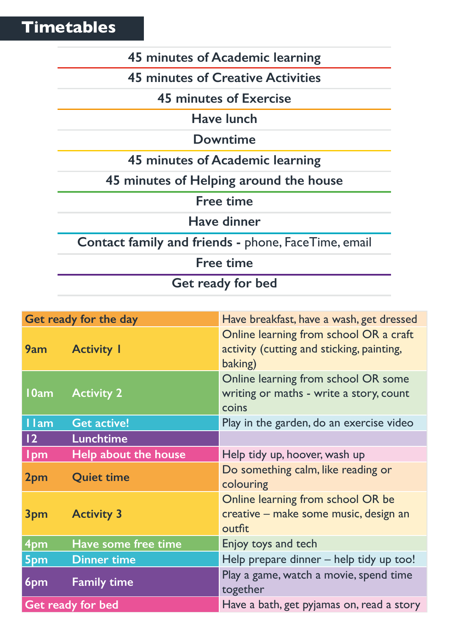**Timetables**

# **45 minutes of Academic learning**

**45 minutes of Creative Activities**

**45 minutes of Exercise**

**Have lunch**

**Downtime**

**45 minutes of Academic learning**

**45 minutes of Helping around the house**

**Free time**

**Have dinner**

**Contact family and friends -** phone, FaceTime, email

**Free time**

**Get ready for bed**

| Get ready for the day |                      | Have breakfast, have a wash, get dressed                                                       |
|-----------------------|----------------------|------------------------------------------------------------------------------------------------|
| 9am                   | <b>Activity I</b>    | Online learning from school OR a craft<br>activity (cutting and sticking, painting,<br>baking) |
| 10am                  | <b>Activity 2</b>    | Online learning from school OR some<br>writing or maths - write a story, count<br>coins        |
| <b>I</b> lam          | <b>Get active!</b>   | Play in the garden, do an exercise video                                                       |
| 12                    | <b>Lunchtime</b>     |                                                                                                |
| <b>Ipm</b>            | Help about the house | Help tidy up, hoover, wash up                                                                  |
| 2pm                   | <b>Quiet time</b>    | Do something calm, like reading or<br>colouring                                                |
| 3pm                   | <b>Activity 3</b>    | Online learning from school OR be<br>creative - make some music, design an<br>outfit           |
| 4pm                   | Have some free time  | Enjoy toys and tech                                                                            |
| 5pm                   | <b>Dinner time</b>   | Help prepare dinner – help tidy up too!                                                        |
| 6pm                   | <b>Family time</b>   | Play a game, watch a movie, spend time<br>together                                             |
| Get ready for bed     |                      | Have a bath, get pyjamas on, read a story                                                      |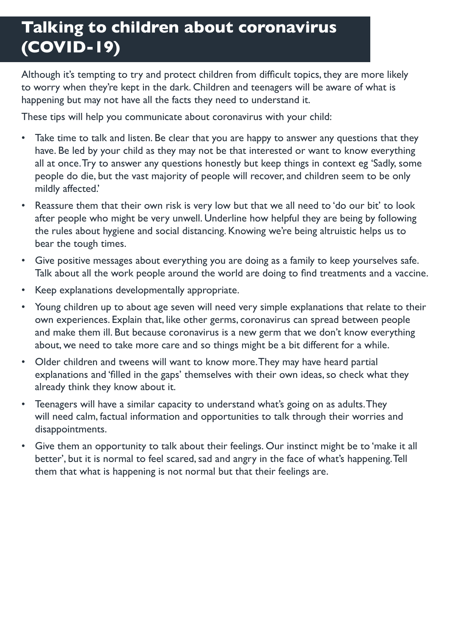# **Talking to children about coronavirus (COVID-19)**

Although it's tempting to try and protect children from difficult topics, they are more likely to worry when they're kept in the dark. Children and teenagers will be aware of what is happening but may not have all the facts they need to understand it.

These tips will help you communicate about coronavirus with your child:

- Take time to talk and listen. Be clear that you are happy to answer any questions that they have. Be led by your child as they may not be that interested or want to know everything all at once. Try to answer any questions honestly but keep things in context eg 'Sadly, some people do die, but the vast majority of people will recover, and children seem to be only mildly affected.'
- Reassure them that their own risk is very low but that we all need to 'do our bit' to look after people who might be very unwell. Underline how helpful they are being by following the rules about hygiene and social distancing. Knowing we're being altruistic helps us to bear the tough times.
- Give positive messages about everything you are doing as a family to keep yourselves safe. Talk about all the work people around the world are doing to find treatments and a vaccine.
- Keep explanations developmentally appropriate.
- Young children up to about age seven will need very simple explanations that relate to their own experiences. Explain that, like other germs, coronavirus can spread between people and make them ill. But because coronavirus is a new germ that we don't know everything about, we need to take more care and so things might be a bit different for a while.
- Older children and tweens will want to know more. They may have heard partial explanations and 'filled in the gaps' themselves with their own ideas, so check what they already think they know about it.
- Teenagers will have a similar capacity to understand what's going on as adults. They will need calm, factual information and opportunities to talk through their worries and disappointments.
- Give them an opportunity to talk about their feelings. Our instinct might be to 'make it all better', but it is normal to feel scared, sad and angry in the face of what's happening. Tell them that what is happening is not normal but that their feelings are.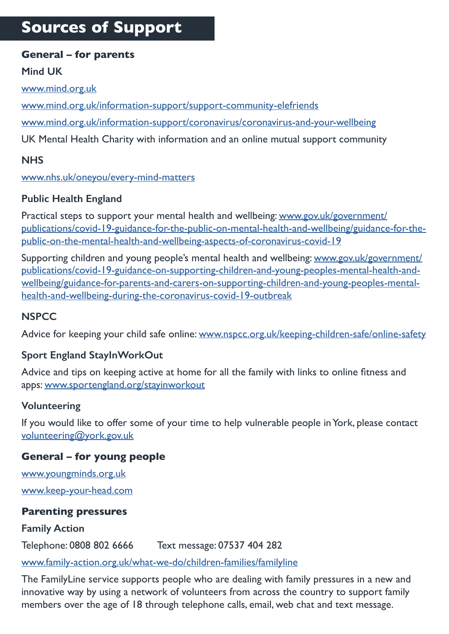# **Sources of Support**

#### **General – for parents**

#### **Mind UK**

[www.mind.org.uk](https://www.mind.org.uk/)

[www.mind.org.uk/information-support/support-community-elefriends](https://www.mind.org.uk/information-support/support-community-elefriends/)

[www.mind.org.uk/information-support/coronavirus/coronavirus-and-your-wellbeing](https://www.mind.org.uk/information-support/coronavirus/coronavirus-and-your-wellbeing/)

UK Mental Health Charity with information and an online mutual support community

#### **NHS**

[www.nhs.uk/oneyou/every-mind-matters](https://www.nhs.uk/oneyou/every-mind-matters/)

#### **Public Health England**

Practical steps to support your mental health and wellbeing: [www.gov.uk/government/](https://www.gov.uk/government/publications/covid-19-guidance-for-the-public-on-mental-health-and-wellbeing/guidance-for-the-public-on-the-mental-health-and-wellbeing-aspects-of-coronavirus-covid-19) [publications/covid-19-guidance-for-the-public-on-mental-health-and-wellbeing/guidance-for-the](https://www.gov.uk/government/publications/covid-19-guidance-for-the-public-on-mental-health-and-wellbeing/guidance-for-the-public-on-the-mental-health-and-wellbeing-aspects-of-coronavirus-covid-19)[public-on-the-mental-health-and-wellbeing-aspects-of-coronavirus-covid-19](https://www.gov.uk/government/publications/covid-19-guidance-for-the-public-on-mental-health-and-wellbeing/guidance-for-the-public-on-the-mental-health-and-wellbeing-aspects-of-coronavirus-covid-19)

Supporting children and young people's mental health and wellbeing: [www.gov.uk/government/](https://www.gov.uk/government/publications/covid-19-guidance-on-supporting-children-and-young-peoples-mental-health-and-wellbeing/guidance-for-parents-and-carers-on-supporting-children-and-young-peoples-mental-health-and-wellbeing-during-the-coronavirus-covid-19-outbreak) [publications/covid-19-guidance-on-supporting-children-and-young-peoples-mental-health-and](https://www.gov.uk/government/publications/covid-19-guidance-on-supporting-children-and-young-peoples-mental-health-and-wellbeing/guidance-for-parents-and-carers-on-supporting-children-and-young-peoples-mental-health-and-wellbeing-during-the-coronavirus-covid-19-outbreak)[wellbeing/guidance-for-parents-and-carers-on-supporting-children-and-young-peoples-mental](https://www.gov.uk/government/publications/covid-19-guidance-on-supporting-children-and-young-peoples-mental-health-and-wellbeing/guidance-for-parents-and-carers-on-supporting-children-and-young-peoples-mental-health-and-wellbeing-during-the-coronavirus-covid-19-outbreak)[health-and-wellbeing-during-the-coronavirus-covid-19-outbreak](https://www.gov.uk/government/publications/covid-19-guidance-on-supporting-children-and-young-peoples-mental-health-and-wellbeing/guidance-for-parents-and-carers-on-supporting-children-and-young-peoples-mental-health-and-wellbeing-during-the-coronavirus-covid-19-outbreak)

#### **NSPCC**

Advice for keeping your child safe online: [www.nspcc.org.uk/keeping-children-safe/online-safety](http://www.nspcc.org.uk/keeping-children-safe/online-safety)

#### **Sport England StayInWorkOut**

Advice and tips on keeping active at home for all the family with links to online fitness and apps: [www.sportengland.org/stayinworkout](https://www.sportengland.org/stayinworkout)

#### **Volunteering**

If you would like to offer some of your time to help vulnerable people in York, please contact [volunteering@york.gov.uk](mailto:volunteering%40york.gov.uk?subject=Volunteering)

#### **General – for young people**

[www.youngminds.org.uk](http://www.youngminds.org.uk) [www.keep-your-head.com](http://www.keep-your-head.com)

#### **Parenting pressures**

#### **Family Action**

Telephone: 0808 802 6666 Text message: 07537 404 282

[www.family-action.org.uk/what-we-do/children-families/familyline](https://www.family-action.org.uk/what-we-do/children-families/familyline/)

The FamilyLine service supports people who are dealing with family pressures in a new and innovative way by using a network of volunteers from across the country to support family members over the age of 18 through telephone calls, email, web chat and text message.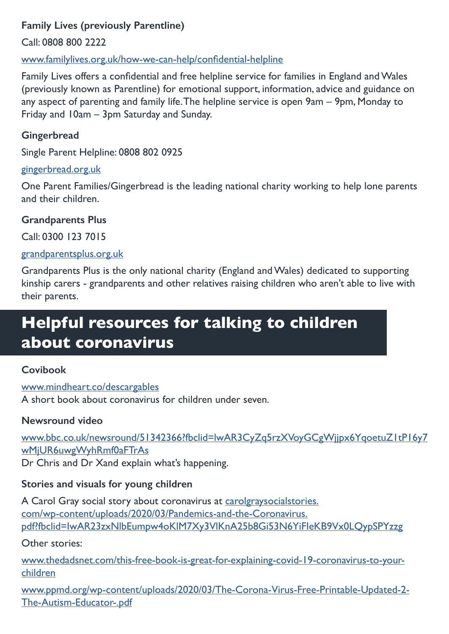# **Family Lives (previously Parentline)**

Call: 0808 800 2222

[www.familylives.org.uk/how-we-can-help/confidential-helpline](https://www.familylives.org.uk/how-we-can-help/confidential-helpline/)

Family Lives offers a confidential and free helpline service for families in England and Wales (previously known as Parentline) for emotional support, information, advice and guidance on any aspect of parenting and family life. The helpline service is open 9am – 9pm, Monday to Friday and 10am – 3pm Saturday and Sunday.

### **Gingerbread**

Single Parent Helpline: 0808 802 0925

### [gingerbread.org.uk](http://gingerbread.org.uk)

One Parent Families/Gingerbread is the leading national charity working to help lone parents and their children.

# **Grandparents Plus**

Call: 0300 123 7015

# [grandparentsplus.org.uk](http://grandparentsplus.org.uk)

Grandparents Plus is the only national charity (England and Wales) dedicated to supporting kinship carers - grandparents and other relatives raising children who aren't able to live with their parents.

# **Helpful resources for talking to children about coronavirus**

# **Covibook**

[www.mindheart.co/descargables](https://www.mindheart.co/descargables) A short book about coronavirus for children under seven.

# **Newsround video**

[www.bbc.co.uk/newsround/51342366?fbclid=lwAR3CyZq5rzXVoyGCgWjjpx6YqoetuZ1tP16y7](https://www.bbc.co.uk/newsround/51342366?fbclid=IwAR3CyZq5rzXVoyGCgWjjpx6YqoetuZ1tP16y7wMjUR6uwgWyhRmf0aFTrAs) [wMjUR6uwgWyhRmf0aFTrAs](https://www.bbc.co.uk/newsround/51342366?fbclid=IwAR3CyZq5rzXVoyGCgWjjpx6YqoetuZ1tP16y7wMjUR6uwgWyhRmf0aFTrAs) Dr Chris and Dr Xand explain what's happening.

# **Stories and visuals for young children**

A Carol Gray social story about coronavirus at [carolgraysocialstories.](https://carolgraysocialstories.com/wp-content/uploads/2020/03/Pandemics-and-the-Coronavirus.pdf?fbclid=IwAR23zxNlbEumpw4oKlM7Xy3VlKnA25b8Gi53N6YiFIeKB9Vx0LQypSPYzzg) [com/wp-content/uploads/2020/03/Pandemics-and-the-Coronavirus.](https://carolgraysocialstories.com/wp-content/uploads/2020/03/Pandemics-and-the-Coronavirus.pdf?fbclid=IwAR23zxNlbEumpw4oKlM7Xy3VlKnA25b8Gi53N6YiFIeKB9Vx0LQypSPYzzg) [pdf?fbclid=IwAR23zxNlbEumpw4oKlM7Xy3VlKnA25b8Gi53N6YiFIeKB9Vx0LQypSPYzzg](https://carolgraysocialstories.com/wp-content/uploads/2020/03/Pandemics-and-the-Coronavirus.pdf?fbclid=IwAR23zxNlbEumpw4oKlM7Xy3VlKnA25b8Gi53N6YiFIeKB9Vx0LQypSPYzzg)

Other stories:

[www.thedadsnet.com/this-free-book-is-great-for-explaining-covid-19-coronavirus-to-your](https://www.thedadsnet.com/this-free-book-is-great-for-explaining-covid-19-coronavirus-to-your-children)[children](https://www.thedadsnet.com/this-free-book-is-great-for-explaining-covid-19-coronavirus-to-your-children)

[www.ppmd.org/wp-content/uploads/2020/03/The-Corona-Virus-Free-Printable-Updated-2-](https://www.ppmd.org/wp-content/uploads/2020/03/The-Corona-Virus-Free-Printable-Updated-2-The-Autism-Educator-.pdf) [The-Autism-Educator-.pdf](https://www.ppmd.org/wp-content/uploads/2020/03/The-Corona-Virus-Free-Printable-Updated-2-The-Autism-Educator-.pdf)